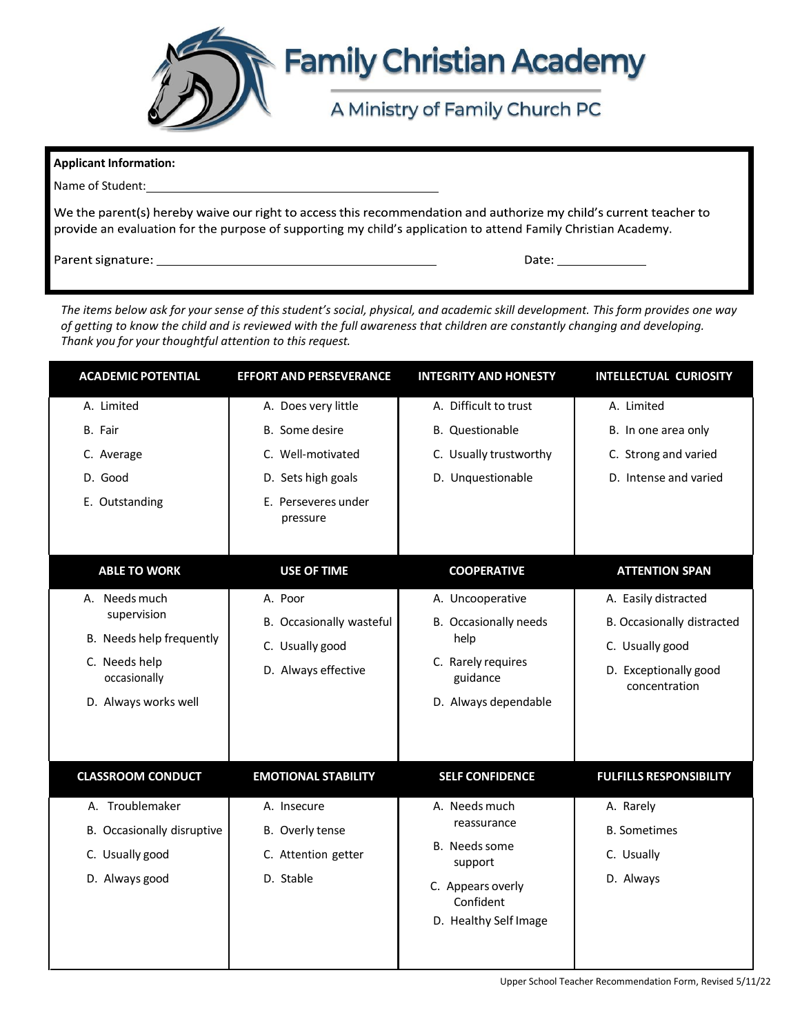|   | <b>Eamily Christian Academy</b> |
|---|---------------------------------|
| D | A Ministry of Family Church PC  |

| Applicant Information:                                                                                                                                                                                                              |                                                                                                                                                                                                                                |  |  |  |
|-------------------------------------------------------------------------------------------------------------------------------------------------------------------------------------------------------------------------------------|--------------------------------------------------------------------------------------------------------------------------------------------------------------------------------------------------------------------------------|--|--|--|
| Name of Student:                                                                                                                                                                                                                    |                                                                                                                                                                                                                                |  |  |  |
| We the parent(s) hereby waive our right to access this recommendation and authorize my child's current teacher to<br>provide an evaluation for the purpose of supporting my child's application to attend Family Christian Academy. |                                                                                                                                                                                                                                |  |  |  |
| Parent signature:                                                                                                                                                                                                                   | Date: the contract of the contract of the contract of the contract of the contract of the contract of the contract of the contract of the contract of the contract of the contract of the contract of the contract of the cont |  |  |  |

The items below ask for your sense of this student's social, physical, and academic skill development. This form provides one way *of getting to know the child and is reviewed with the full awareness that children are constantly changing and developing. Thank you for your thoughtful attention to this request.*

| <b>ACADEMIC POTENTIAL</b>                                                                                                                | <b>EFFORT AND PERSEVERANCE</b>                                                                                      | <b>INTEGRITY AND HONESTY</b>                                                                                                                  | <b>INTELLECTUAL CURIOSITY</b>                                                                                                            |
|------------------------------------------------------------------------------------------------------------------------------------------|---------------------------------------------------------------------------------------------------------------------|-----------------------------------------------------------------------------------------------------------------------------------------------|------------------------------------------------------------------------------------------------------------------------------------------|
| A. Limited<br>B. Fair<br>C. Average<br>D. Good<br>E. Outstanding                                                                         | A. Does very little<br>B. Some desire<br>C. Well-motivated<br>D. Sets high goals<br>E. Perseveres under<br>pressure | A. Difficult to trust<br><b>B.</b> Questionable<br>C. Usually trustworthy<br>D. Unquestionable                                                | A. Limited<br>B. In one area only<br>C. Strong and varied<br>D. Intense and varied                                                       |
| <b>ABLE TO WORK</b><br>A. Needs much<br>supervision<br>B. Needs help frequently<br>C. Needs help<br>occasionally<br>D. Always works well | <b>USE OF TIME</b><br>A. Poor<br>B. Occasionally wasteful<br>C. Usually good<br>D. Always effective                 | <b>COOPERATIVE</b><br>A. Uncooperative<br>B. Occasionally needs<br>help<br>C. Rarely requires<br>guidance<br>D. Always dependable             | <b>ATTENTION SPAN</b><br>A. Easily distracted<br>B. Occasionally distracted<br>C. Usually good<br>D. Exceptionally good<br>concentration |
| <b>CLASSROOM CONDUCT</b><br>A. Troublemaker<br>B. Occasionally disruptive<br>C. Usually good<br>D. Always good                           | <b>EMOTIONAL STABILITY</b><br>A. Insecure<br>B. Overly tense<br>C. Attention getter<br>D. Stable                    | <b>SELF CONFIDENCE</b><br>A. Needs much<br>reassurance<br>B. Needs some<br>support<br>C. Appears overly<br>Confident<br>D. Healthy Self Image | <b>FULFILLS RESPONSIBILITY</b><br>A. Rarely<br><b>B.</b> Sometimes<br>C. Usually<br>D. Always                                            |